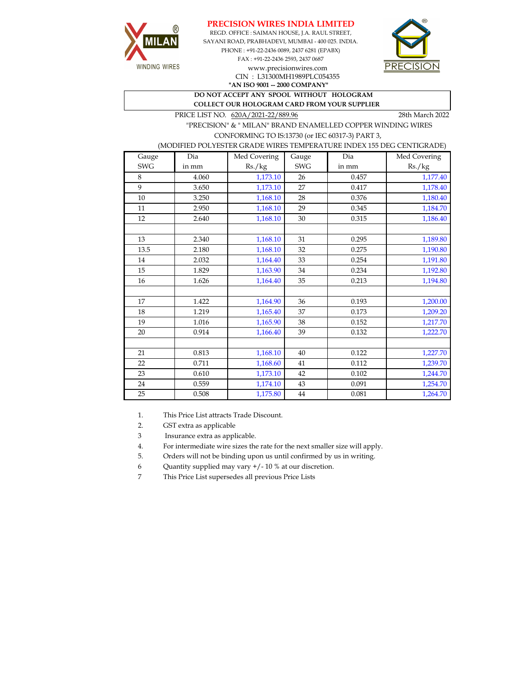





CIN : L31300MH1989PLC054355

**"AN ISO 9001 -- 2000 COMPANY" DO NOT ACCEPT ANY SPOOL WITHOUT HOLOGRAM** 

 **COLLECT OUR HOLOGRAM CARD FROM YOUR SUPPLIER** 

PRICE LIST NO.  $620A/2021-22/889.96$  28th March 2022

WINDING WIRES

 "PRECISION" & " MILAN" BRAND ENAMELLED COPPER WINDING WIRES CONFORMING TO IS:13730 (or IEC 60317-3) PART 3,

(MODIFIED POLYESTER GRADE WIRES TEMPERATURE INDEX 155 DEG CENTIGRADE)

| Gauge      | Dia   | Med Covering | Gauge      | Dia   | Med Covering |
|------------|-------|--------------|------------|-------|--------------|
| <b>SWG</b> | in mm | Rs./kg       | <b>SWG</b> | in mm | Rs./kg       |
| 8          | 4.060 | 1,173.10     | 26         | 0.457 | 1,177.40     |
| 9          | 3.650 | 1,173.10     | 27         | 0.417 | 1,178.40     |
| 10         | 3.250 | 1,168.10     | 28         | 0.376 | 1,180.40     |
| 11         | 2.950 | 1,168.10     | 29         | 0.345 | 1,184.70     |
| 12         | 2.640 | 1,168.10     | 30         | 0.315 | 1,186.40     |
|            |       |              |            |       |              |
| 13         | 2.340 | 1,168.10     | 31         | 0.295 | 1,189.80     |
| 13.5       | 2.180 | 1,168.10     | 32         | 0.275 | 1,190.80     |
| 14         | 2.032 | 1,164.40     | 33         | 0.254 | 1,191.80     |
| 15         | 1.829 | 1,163.90     | 34         | 0.234 | 1,192.80     |
| 16         | 1.626 | 1,164.40     | 35         | 0.213 | 1,194.80     |
|            |       |              |            |       |              |
| 17         | 1.422 | 1,164.90     | 36         | 0.193 | 1,200.00     |
| 18         | 1.219 | 1,165.40     | 37         | 0.173 | 1,209.20     |
| 19         | 1.016 | 1,165.90     | 38         | 0.152 | 1,217.70     |
| 20         | 0.914 | 1,166.40     | 39         | 0.132 | 1,222.70     |
|            |       |              |            |       |              |
| 21         | 0.813 | 1,168.10     | 40         | 0.122 | 1,227.70     |
| 22         | 0.711 | 1,168.60     | 41         | 0.112 | 1,239.70     |
| 23         | 0.610 | 1,173.10     | 42         | 0.102 | 1,244.70     |
| 24         | 0.559 | 1,174.10     | 43         | 0.091 | 1,254.70     |
| 25         | 0.508 | 1,175.80     | $44\,$     | 0.081 | 1,264.70     |

1. This Price List attracts Trade Discount.

2. GST extra as applicable

3 Insurance extra as applicable.

4. For intermediate wire sizes the rate for the next smaller size will apply.

5. Orders will not be binding upon us until confirmed by us in writing.

6 Quantity supplied may vary +/- 10 % at our discretion.

7 This Price List supersedes all previous Price Lists